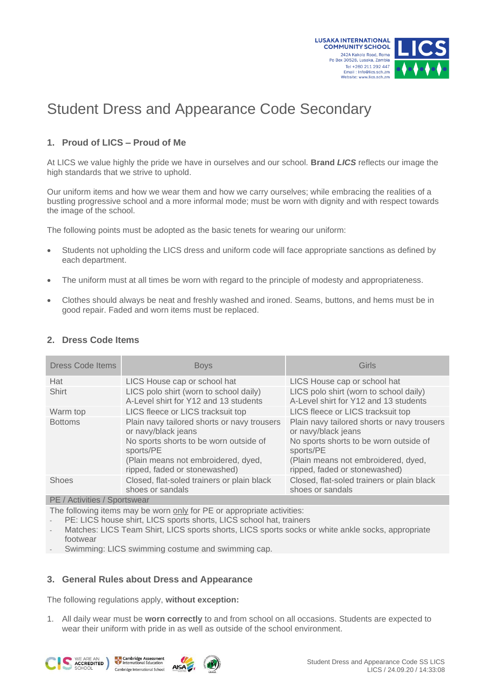

# Student Dress and Appearance Code Secondary

## **1. Proud of LICS – Proud of Me**

At LICS we value highly the pride we have in ourselves and our school*.* **Brand** *LICS* reflects our image the high standards that we strive to uphold.

Our uniform items and how we wear them and how we carry ourselves; while embracing the realities of a bustling progressive school and a more informal mode; must be worn with dignity and with respect towards the image of the school.

The following points must be adopted as the basic tenets for wearing our uniform:

- Students not upholding the LICS dress and uniform code will face appropriate sanctions as defined by each department.
- The uniform must at all times be worn with regard to the principle of modesty and appropriateness.
- Clothes should always be neat and freshly washed and ironed. Seams, buttons, and hems must be in good repair. Faded and worn items must be replaced.

| Безэ солс кешэ               |                                                                                                                                                                                                   |                                                                                                                                                                                                   |
|------------------------------|---------------------------------------------------------------------------------------------------------------------------------------------------------------------------------------------------|---------------------------------------------------------------------------------------------------------------------------------------------------------------------------------------------------|
| <b>Dress Code Items</b>      | <b>Boys</b>                                                                                                                                                                                       | Girls                                                                                                                                                                                             |
| Hat                          | LICS House cap or school hat                                                                                                                                                                      | LICS House cap or school hat                                                                                                                                                                      |
| <b>Shirt</b>                 | LICS polo shirt (worn to school daily)<br>A-Level shirt for Y12 and 13 students                                                                                                                   | LICS polo shirt (worn to school daily)<br>A-Level shirt for Y12 and 13 students                                                                                                                   |
| Warm top                     | LICS fleece or LICS tracksuit top                                                                                                                                                                 | LICS fleece or LICS tracksuit top                                                                                                                                                                 |
| <b>Bottoms</b>               | Plain navy tailored shorts or navy trousers<br>or navy/black jeans<br>No sports shorts to be worn outside of<br>sports/PE<br>(Plain means not embroidered, dyed,<br>ripped, faded or stonewashed) | Plain navy tailored shorts or navy trousers<br>or navy/black jeans<br>No sports shorts to be worn outside of<br>sports/PE<br>(Plain means not embroidered, dyed,<br>ripped, faded or stonewashed) |
| <b>Shoes</b>                 | Closed, flat-soled trainers or plain black<br>shoes or sandals                                                                                                                                    | Closed, flat-soled trainers or plain black<br>shoes or sandals                                                                                                                                    |
| PE / Activities / Sportswear |                                                                                                                                                                                                   |                                                                                                                                                                                                   |

## **2. Dress Code Items**

PE / Activities / Sportswear

The following items may be worn only for PE or appropriate activities:

PE: LICS house shirt, LICS sports shorts, LICS school hat, trainers

Matches: LICS Team Shirt, LICS sports shorts, LICS sports socks or white ankle socks, appropriate footwear

Swimming: LICS swimming costume and swimming cap.

## **3. General Rules about Dress and Appearance**

The following regulations apply, **without exception:**

1. All daily wear must be **worn correctly** to and from school on all occasions. Students are expected to wear their uniform with pride in as well as outside of the school environment.